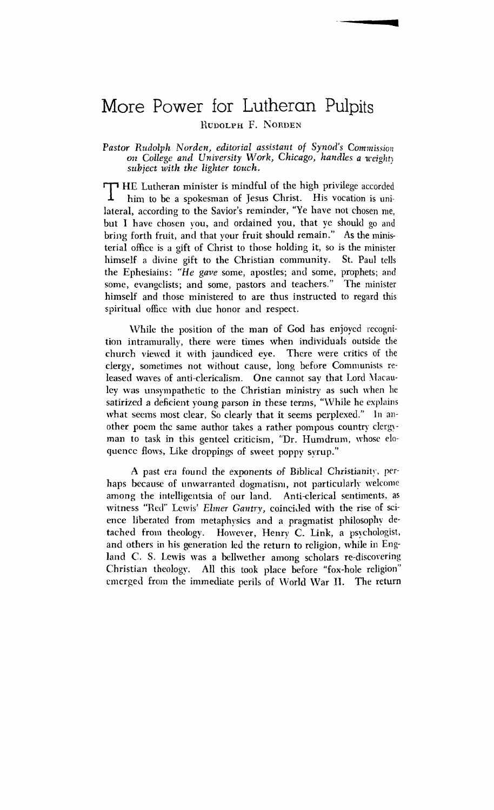# More Power for Lutheran Pulpits

**RUDOLPH F. NORDEN** 

Pastor Rudolph Norden, editorial assistant of Synod's Commission *on College and University Work, Chicago, handles a weighty subject with the lighter touch.* 

T HE Lutheran minister is mindful of the high privilege accorded<br>him to be a spokesman of Jesus Christ. His vocation is unihim to be a spokesman of Jesus Christ. His vocation is unilateral, according to the Savior's reminder, "Ye have not chosen me, but I have chosen you, and ordained you, that ye should go and bring forth fruit, and that your fruit should remain." As the ministerial officc is a gift of Christ to those holding it, so is the minister himself a divine gift to the Christian community. St. Paul tells the Ephesiains: "He gave some, apostles; and some, prophets; and some, evangelists; and some, pastors and teachers." The minister himself and those ministered to are thus instructed to regard this spiritual office with due honor and respect.

While the position of the man of God has enjoyed recognition intramurally, there were times when individuaIs outside the church viewed it with jaundiced eve. There were critics of the clergy, sometimes not without cause, long before Communists released wayes of anti-clericalism. One cannot say that Lord Macauley was unsympathetic to the Christian ministry as such when he satirized a deficient young parson in these terms, "While he explains what seems most clear, So clearly that it seems perplexed." In another poem the same author takes a rather pompous country clergyman to task in this genteel criticism, "Dr. Humdrum, whose eloquencc flows, Like droppings of sweet poppy syrup."

A past era found the exponents of Biblical Christianity, perhaps because of unwarranted dogmatism, not particularly welcome among the intelligentsia of our land. Anti-clerical sentiments, as witness "Red" Lewis' *Elmer Gantry*, coincided with the rise of science liberated from metaphysics and a pragmatist philosophy detached from theology. However, Henry C. Link, a psychologist, and others in his generation led the return to religion, while in England C. S. Lewis was a bellwether among scholars re-discovering Christian theology. All this took place before "fox-hole religion" All this took place before "fox-hole religion" cmcrgecl from the immediate perils of IVorld \Var **11.** The return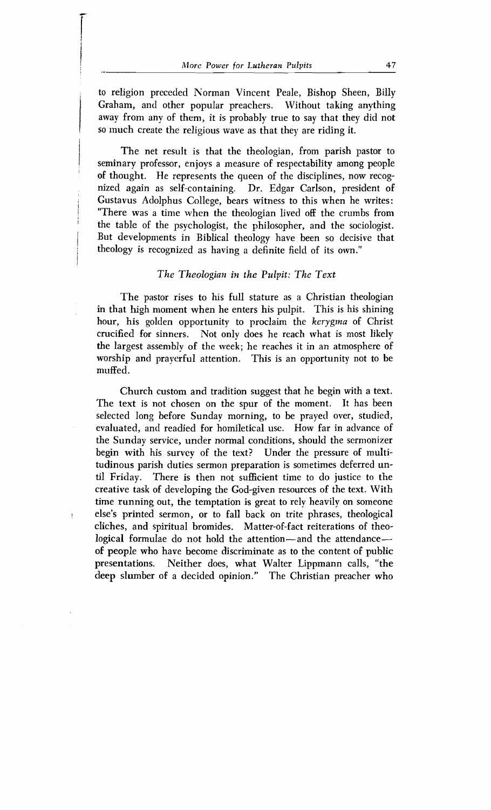to religion preceded Norman Vincent Peale, Bishop Sheen, Billy Graham, and other popular preachers. Without taking anything away from any of them, it is probably true to say that they did not SO much create the religious wave as that they are riding it.

The net result is that the theologian, from parish pastor to seminary professor, enjoys a measure of respectability among people of thought. He represents the queen of the disciplines, now recognized again as self-containing. Dr. Edgar Carlson, president of Gustavus Aclolphus College, bears witness to this when he writes: "There was a time when the theologian lived off the crumbs from the table of the psychologist, the philosopher, and the sociologist. But developments in Biblical theology have been so decisive that theology is recognized as having a definite field of its own."

# *The Theologian in the Pulpit: Thc Text*

The pastor rises to his full stature as a Christian theologian in that high moment when he enters his pulpit. This is his shining hour, his golden opportunity to proclaim the *kerygina* of Christ crucified for sinners. Not only does he reach what is most likely the largest assembly of the week; he reaches it in an atmosphere of worship and prayerful attention. This is an opportunity not to be muffed.

Church custom and tradition suggest that he begin with a text. The text is not chosen on the spur of the moment. It has been selected long before Sunday morning, to be prayed over, studied, evaluated, and readied for homiletical use. How far in advance of the Sunday service, under normal conditions, should the sermonizer begin with his survey of the text? Under the pressure of multitudinous parish duties sermon preparation is sometimes deferred until Friday. There is then not sufficient time to do justice to the creative task of developing the God-given resources of the text. With time running out, the temptation is great to rely heavily on someone else's printed sermon, or to fall back on trite phrases, theological cliches, and spiritual bromides. Matter-of-fact reiterations of theological formulae do not hold the attention—and the attendanceof people who have become discriminate as to the content of public presentations. Neither does, what Walter Lippmann calls, "the deep slumber of a decided opinion." The Christian preacher who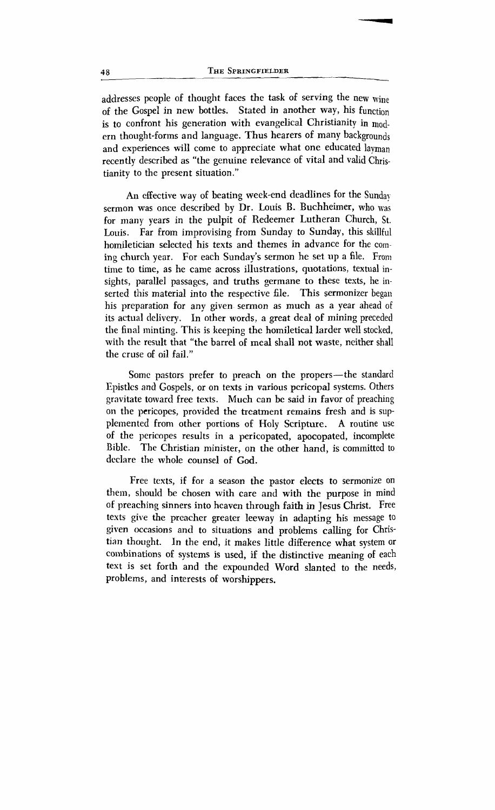people of thought faces the task of serving the new wine of the Gospel in new bottles. Stated in another way, his function is to confront his generation with evangelical Christianity in modern thought-forms and language. Thus hearers of many backgrounds and experiences will come to appreciate what one educated layman recently described as "the genuine relevance of vital and valid Christianity to the present situation."

**An** effective way of beating week-end deadlines for the Sunday sermon was once described by Dr. Louis B. Buchheimer, who was for many years in the pulpit of Redeemer Lutheran Church, St. Louis. Far from improvising from Sunday to Sunday, this skillful homiletician selected his texts and themes in advance for the coming church year. For each Sunday's sermon he set up a file. From time to time, as he came across illustrations, quotations, textual insights, parallel passages, and truths germane to these tests, he inserted this material into the respective file. This sermonizer began his preparation for any given sermon as much as a year ahead of its actual delivery. In other words, a great deal of mining preceded the final minting. This is keeping the homiletical larder well stocked, with the result that "the barrel of meal shall not waste, neither shall the cruse of oil fail."

Some pastors prefer to preach on the propers-the standard Epistles and Gospels, or on texts in various pcricopal systems. Others gravitate toward free texts. Much can be said in favor of preaching on the pericopes, provided the treatment remains fresh and is supplemented from other portions of Holy Scripture. **A** routine use of the pericopes results in a pericopated, apocopated, incomplete Bible. The Christian minister, on the other hand, is committed to declare the whole counsel of God.

Free texts, if for a season the pastor elects to sermonize on them, should be chosen with care and with the purpose in mind of preaching sinners into heaven through faith in Jesus Christ. Free tests give the preacher greater leeway in adapting his message to given occasions and to situations and problems calling for Christian thonght. In the end, it makes little difference what system or combinations of systems is used, if the distinctive meaning of each text is set forth and the expounded Word slanted to the needs, problems, and interests of worshippers.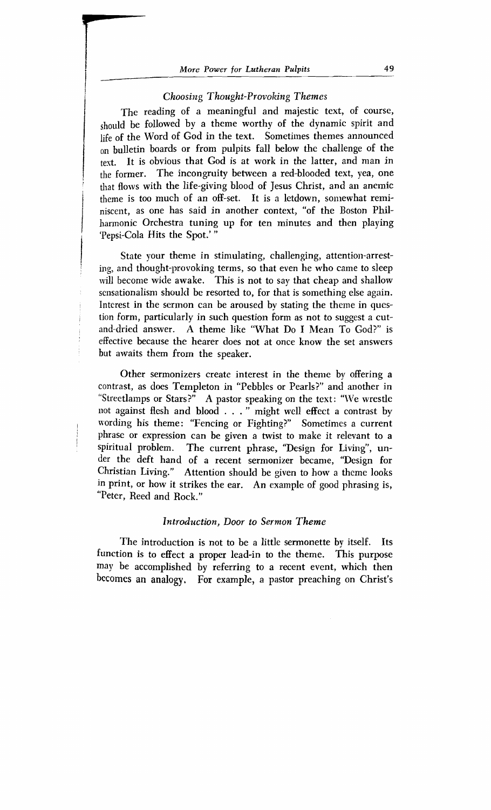# *i Choosing Thought-Provoking Themes*

I

The reading of a meaningful and majestic text, of course, should be followed by a theme worthy of the dynamic spirit and life of the Word of God in the text. Sometimes themes announced on bulletin boards or from pulpits fall below the challenge of the text. It is obvious that God is at work in the latter, and man in the former. The incongruity between a red-blooded text, yea, one that flows with the life-giving blood of Jesus Christ, and an anemic theme is too much of an off-set. It is a letdown, somewhat reminiscent, as one has said in another context, "of the Boston Philharmonic Orchestra tuning up for ten minutes and then playing 'Pepsi-Cola Hits the Spot.'"

State your theme in stimulating, challenging, attention-arresting, and thought-provoking terms, so that even he who came to sleep will become wide awake. This is not to say that cheap and shallow sensationalism should be resorted to, for that is something else again. Interest in the sermon can be aroused by stating the theme in ques tion form, particularly in such question form as not to suggest a cut-, and-dried answer. **A** theme like "What Do I Mean To God?" is effective because the hearer does not at once know the set answers but awaits them from the speaker.

Other sermonizers create interest in the theme by offering a contrast, as does Templeton in "Pebbles or Pearls?" and another in "Streetlamps or Stars?" A pastor speaking on the text: "We wrestle not against flesh and blood  $\ldots$  " might well effect a contrast by , wording his theme: "Fencing or Fighting?" Sometimes a current phrase or expression can be given a twist to make it relevant to a spiritual problem. The current phrase, "Design for Living", under the deft hand of a recent sermonizer became, "Design for Christian Living." Attention should be given to how a theme looks in print, or how it strikes the ear. An example of good phrasing is, "Peter, Reed and Rock."

### *Introduction, Door to Sermon Theme*

The introduction is not to be a little sermonette by itself. Its function is to effect a proper lead-in to the theme. This purpose may be accomplished by referring to a recent event, which then becomes an analogy. For example, a pastor preaching on Christ's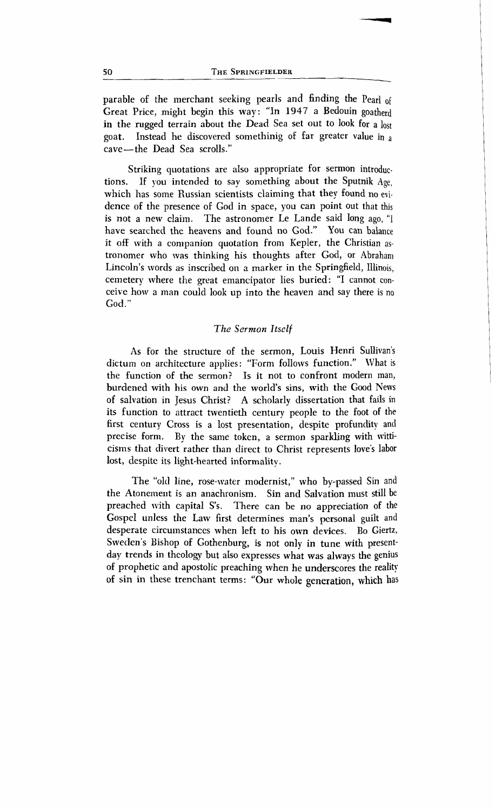parable of the merchant seeking pearls and finding the Pe<sub>arl</sub> Great Price, might begin this way : "In **1947** a Bedouin goatherd in the rugged terrain about the Dead Sea set out to look for a lost goat. Instead he discovered son~ethinig of far greater value in **<sup>a</sup>** cave-the Dead Sea scrolls."

Striking quotations are also appropriate for sermon introductions. If you intended to say something about the Sputnik Age, which has some Russian scientists claiming that they found no evidence of the presence of God in space, you can point out that this is not a new claim. The astronomer Le Lande said long ago, "I have searched the heavens and found no God." You can balance it off with a companion quotation from Kepler, the Christian astronomer who was thinking his thoughts after God, or Abraham Lincoln's words as inscribed on a marker in the Springfield, Illinois, cemetery where the great emancipator lies buried: "I cannot conceive how a man could look up into the heaven and say there is no God. "

#### *The Sermon* **Itself**

As for the structure of the sermon, Louis Henri Sullivan's dictum on architecture applies: "Form follows function." What is the function of the sermon? Is it not to confront modem man, burdened with his own and the world's sins, with the Good News of salvation in Jesus Christ? **A** scholarly dissertation that fails in its function to attract twentieth century people to the foot of the first century Cross is a lost presentation, despite profundity and precise form. By the same token, a sermon sparkling with witticisms that divert rather than direct to Christ represents love's labor lost, despite its light-hearted informality.

The "old line, rose-water modernist," who by-passed Sin and the Atonement is an anachronism. Sin and Salvation must still be preached with capital S's. There can be no appreciation of the Gospel unless the Law first determines man's personal guilt and desperate circumstances when left to his own devices. Bo Giertz. desperate circumstances when left to his own devices. Sweden's Bishop of Gothenburg, is not only in tune with presentday trends in theology but aIso expresses what was always the genius of prophetic and apostolic preaching when he underscores the reality of sin in these trenchant terms: "Our whole **generation, which** has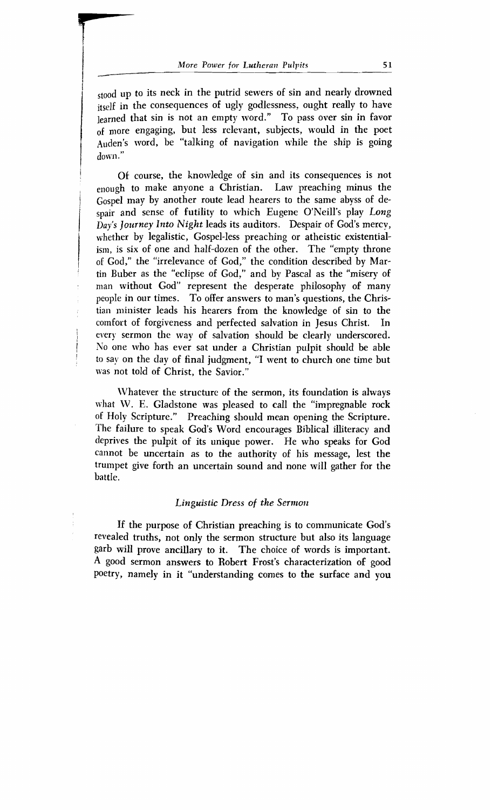up to its neck in the putrid sewers of sin and nearly drowned itself in the consequences of ugly godlessness, ought really to have learned that sin is not an empty word." To pass over sin in favor <sub>of more engaging, but less relevant, subjects, would in the poet</sub> I have englightly that the state of the ship is going  $down."$ 

Of course, the knowledge of sin and its consequences is not enough to make anyone a Christian. Law preaching minus the Gospel may by another route lead hearers to the same abyss of despair and sense of futility to which Eugene O'Neill's play Long<br>Day's Journey Into Night leads its auditors. Despair of God's mercy, whether by legalistic, Gospel-less preaching or atheistic existential-<br>ism, is six of one and half-dozen of the other. The "empty throne<br>of Cod" the "irrelevance of Cod" the condition described by Martin Buber as the "eclipse of God," and by Pascal as the "misery of man without God" represent the desperate philosophy of many people in our times. To offer answers to man's questions, the Christian minister leads his hearers from the knowledge of sin to the comfort of forgiveness and perfected salvation in Jesus Christ. In comfort of forgiveness and perfected salvation in Jesus Christ. In<br>every sermon the way of salvation should be clearly underscored every sermon the way of salvation should be clearly underscored. No one who has ever sat under a Christian pulpit should be able to say on the day of final judgment, "I went to church one time but was not told of Christ, the Savior."

Whatever the structure of the sermon, its foundation is always what W. E. Gladstone was pleased to call the "impregnable rock of Holy Scripture." Preaching should mean opening the Scripture. The failure to speak God's Word encourages Biblical illiteracy and deprives the pulpit of its unique power. He who speaks for God cannot be uncertain as to the authority of his message, lest the trumpet give forth an uncertain sound and none will gather for the battIe.

## *Linguistic Dress of the Sermon*

If the purpose of Christian preaching is to communicate God's revealed truths, not only the sermon structure but also its language garb will prove ancillary to it. The choice of words is important. **A** good sermon answers to Robert Frost's characterization of good poetry, namely in it "understanding comes to the surface and you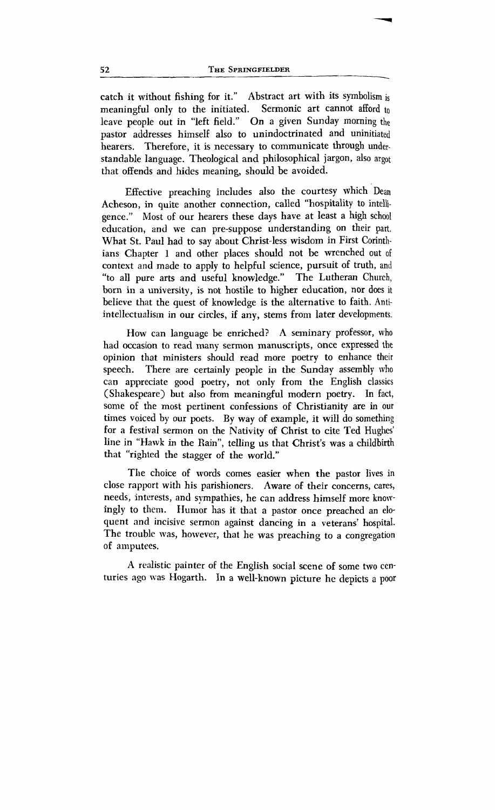catch it without fishing for it." Abstract art with its symbolism is meaningful only to the initiated. Sermonic art cannot afford to leave people out in "left field." On a given Sunday morning the pastor addresses himself also to unindoctrinated and uninitiated hearers. Therefore, it is necessary to communicate through understandable language. Theological and philosophical jargon, also argot that offends and hides meaning, should be avoided.

Effective preaching includes also the courtesy which Dean Acheson, in quite another connection, called "hospitality to intelhgence." Most of our hearers these days have at least a high school education, and we can pre-suppose understanding on their part, What St. Paul had to say about Christ-less wisdom in First Corinthians Chapter 1 and other places should not be wrenched out of context and made to apply to helpful science, pursuit of truth, and "to all pure arts and useful knowledge.'' The Lutheran Church, born in a university, is not hostile to higher education, nor does it believe that the quest of knowledge is the alternative to faith. Antiintellectualism in our circles, if any, stems from later developments.

How can language be enriched? **A** seminary professor, who had occasion to read many sermon manuscripts, once expressed the opinion that ministers should read more poetry to enhance their<br>speech. There are certainly people in the Sunday assembly who There are certainly people in the Sunday assembly who can appreciate good poetry, not only from the English classics (Shakespeare) but also from meaningful modern poetry. In fact, some of the most pertinent confessions of Christianity are in our times voiced by our poets. **By** way of example, it will do something for a festival sermon on the Nativity of Christ to cite Ted Hughes' line in "Hawk in the Rain", telling us that Christ's was a childbirth that "righted the stagger of the world."

The choice of words comes easier when the pastor lives in close rapport with his parishioners. Aware of their concerns, cares, needs, interests, and sympathies, he can address himself more knowingly to them. Humor has it that a pastor once preached an eloquent and incisive sermon against dancing in a veterans' hospital. The trouble was, however, that he was preaching to **a** congregation of amputees.

**A** realistic painter of the English social scene of some two centuries ago was Hogarth. In a well-known picture he depicts a poor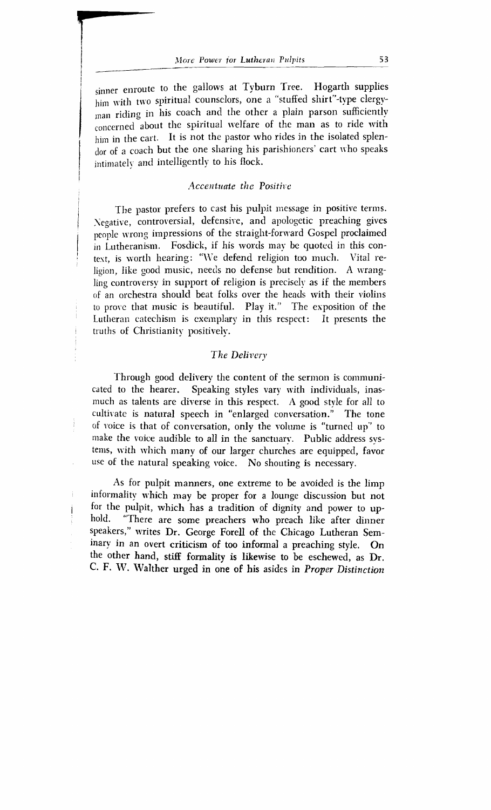sinner enroute to the gallows at Tyburn Tree. Hogarth supplies him with two spiritual counselors, one a "stuffed shirt"-type clergyman riding in his coach and the other a plain parson sufficiently concerned about the spiritual welfare of the man as to ride with him in the cart. It is not the pastor who rides in the isolated splendor of a coach but the one sharing his parishioners' cart who speaks intimately and intelligently to his flock.

#### *Accentuate the Positive*

The pastor prefers to cast his pulpit message in positive terms.<br> Negative, controversial, defensive, and apologetic preaching gives people wrong impressions of the straight-forward Gospel proclaimed in Lutheranism. Fosdick, if his words may be quoted in this con $t$  text, is worth hearing: "We defend religion too much. Vital religion, like good music, needs no defense but rendition. A wrangling controversy in support of religion is precisely as if the members of an orchestra should beat folks over the heads with their violins to prove that music is beautiful. Play it." The exposition of the Lutheran catechism is exemplary in this respect: It presents the truths of Christianity positively.

#### The Delivery

Through good delivery the content of the sermon is communicated to the hearer. Speaking styles vary with individuals, inasmuch as talents are diverse in this respect. A good style for all to cultivate is natural speech in "enlarged conversation." The tone of voice is that of conversation, only the volume is "turned up" to make the voice audible to all in the sanctuary. Public address svstems, with which many of our larger churches are equipped, favor use of the natural speaking voice. No shouting is necessary.

As for pulpit manners, one extreme to be avoided is the limp informality which may be proper for a lounge discussion but not for the pulpit, which has a tradition of dignity and power to up-<br>hold. "There are some preachers who preach like after dinner "There are some preachers who preach like after dinner speakers," writes Dr. George Forell of the Chicago Lutheran Seminary in an overt criticism of too informal a preaching style. On the other hand, **stiff** formality is likewise to be eschewed, as Dr. **C. F. W. Walther urged in one of his asides in** *Proper Distinction*